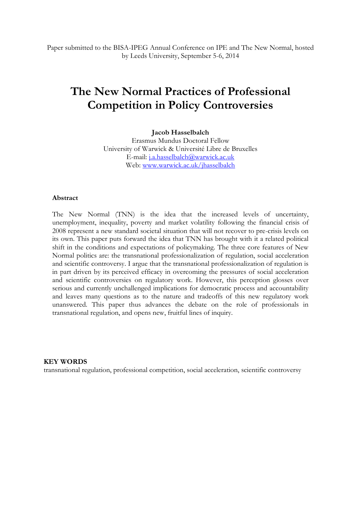Paper submitted to the BISA-IPEG Annual Conference on IPE and The New Normal, hosted by Leeds University, September 5-6, 2014

# **The New Normal Practices of Professional Competition in Policy Controversies**

**Jacob Hasselbalch**

Erasmus Mundus Doctoral Fellow University of Warwick & Université Libre de Bruxelles E-mail: [j.a.hasselbalch@warwick.ac.uk](mailto:j.a.hasselbalch@warwick.ac.uk) Web: [www.warwick.ac.uk/jhasselbalch](http://www.warwick.ac.uk/jhasselbalch)

#### **Abstract**

The New Normal (TNN) is the idea that the increased levels of uncertainty, unemployment, inequality, poverty and market volatility following the financial crisis of 2008 represent a new standard societal situation that will not recover to pre-crisis levels on its own. This paper puts forward the idea that TNN has brought with it a related political shift in the conditions and expectations of policymaking. The three core features of New Normal politics are: the transnational professionalization of regulation, social acceleration and scientific controversy. I argue that the transnational professionalization of regulation is in part driven by its perceived efficacy in overcoming the pressures of social acceleration and scientific controversies on regulatory work. However, this perception glosses over serious and currently unchallenged implications for democratic process and accountability and leaves many questions as to the nature and tradeoffs of this new regulatory work unanswered. This paper thus advances the debate on the role of professionals in transnational regulation, and opens new, fruitful lines of inquiry.

#### **KEY WORDS**

transnational regulation, professional competition, social acceleration, scientific controversy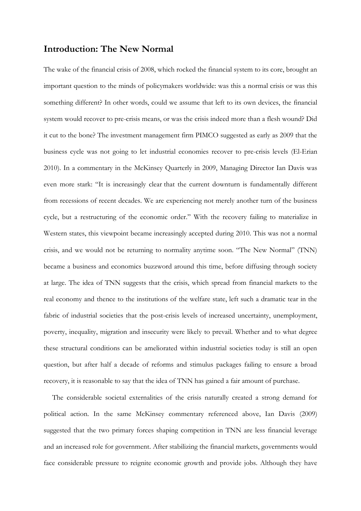## **Introduction: The New Normal**

The wake of the financial crisis of 2008, which rocked the financial system to its core, brought an important question to the minds of policymakers worldwide: was this a normal crisis or was this something different? In other words, could we assume that left to its own devices, the financial system would recover to pre-crisis means, or was the crisis indeed more than a flesh wound? Did it cut to the bone? The investment management firm PIMCO suggested as early as 2009 that the business cycle was not going to let industrial economies recover to pre-crisis levels (El-Erian 2010). In a commentary in the McKinsey Quarterly in 2009, Managing Director Ian Davis was even more stark: "It is increasingly clear that the current downturn is fundamentally different from recessions of recent decades. We are experiencing not merely another turn of the business cycle, but a restructuring of the economic order." With the recovery failing to materialize in Western states, this viewpoint became increasingly accepted during 2010. This was not a normal crisis, and we would not be returning to normality anytime soon. "The New Normal" (TNN) became a business and economics buzzword around this time, before diffusing through society at large. The idea of TNN suggests that the crisis, which spread from financial markets to the real economy and thence to the institutions of the welfare state, left such a dramatic tear in the fabric of industrial societies that the post-crisis levels of increased uncertainty, unemployment, poverty, inequality, migration and insecurity were likely to prevail. Whether and to what degree these structural conditions can be ameliorated within industrial societies today is still an open question, but after half a decade of reforms and stimulus packages failing to ensure a broad recovery, it is reasonable to say that the idea of TNN has gained a fair amount of purchase.

The considerable societal externalities of the crisis naturally created a strong demand for political action. In the same McKinsey commentary referenced above, Ian Davis (2009) suggested that the two primary forces shaping competition in TNN are less financial leverage and an increased role for government. After stabilizing the financial markets, governments would face considerable pressure to reignite economic growth and provide jobs. Although they have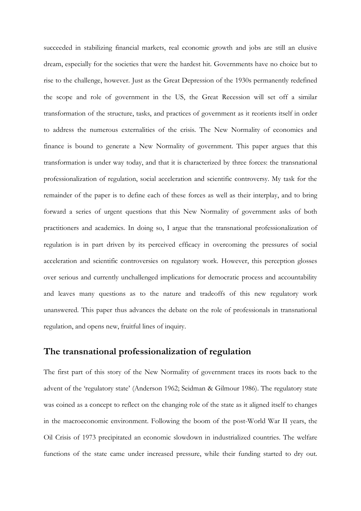succeeded in stabilizing financial markets, real economic growth and jobs are still an elusive dream, especially for the societies that were the hardest hit. Governments have no choice but to rise to the challenge, however. Just as the Great Depression of the 1930s permanently redefined the scope and role of government in the US, the Great Recession will set off a similar transformation of the structure, tasks, and practices of government as it reorients itself in order to address the numerous externalities of the crisis. The New Normality of economics and finance is bound to generate a New Normality of government. This paper argues that this transformation is under way today, and that it is characterized by three forces: the transnational professionalization of regulation, social acceleration and scientific controversy. My task for the remainder of the paper is to define each of these forces as well as their interplay, and to bring forward a series of urgent questions that this New Normality of government asks of both practitioners and academics. In doing so, I argue that the transnational professionalization of regulation is in part driven by its perceived efficacy in overcoming the pressures of social acceleration and scientific controversies on regulatory work. However, this perception glosses over serious and currently unchallenged implications for democratic process and accountability and leaves many questions as to the nature and tradeoffs of this new regulatory work unanswered. This paper thus advances the debate on the role of professionals in transnational regulation, and opens new, fruitful lines of inquiry.

#### **The transnational professionalization of regulation**

The first part of this story of the New Normality of government traces its roots back to the advent of the 'regulatory state' (Anderson 1962; Seidman & Gilmour 1986). The regulatory state was coined as a concept to reflect on the changing role of the state as it aligned itself to changes in the macroeconomic environment. Following the boom of the post-World War II years, the Oil Crisis of 1973 precipitated an economic slowdown in industrialized countries. The welfare functions of the state came under increased pressure, while their funding started to dry out.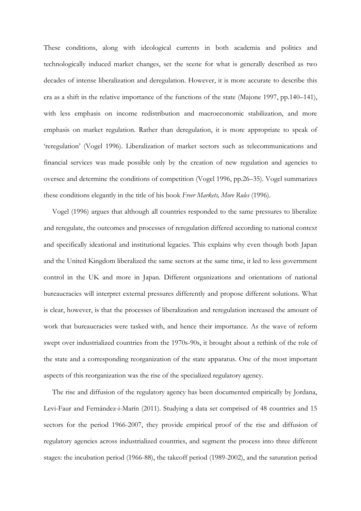These conditions, along with ideological currents in both academia and politics and technologically induced market changes, set the scene for what is generally described as two decades of intense liberalization and deregulation. However, it is more accurate to describe this era as a shift in the relative importance of the functions of the state (Majone 1997, pp.140–141), with less emphasis on income redistribution and macroeconomic stabilization, and more emphasis on market regulation. Rather than deregulation, it is more appropriate to speak of 'reregulation' (Vogel 1996). Liberalization of market sectors such as telecommunications and financial services was made possible only by the creation of new regulation and agencies to oversee and determine the conditions of competition (Vogel 1996, pp.26–35). Vogel summarizes these conditions elegantly in the title of his book *Freer Markets, More Rules* (1996).

Vogel (1996) argues that although all countries responded to the same pressures to liberalize and reregulate, the outcomes and processes of reregulation differed according to national context and specifically ideational and institutional legacies. This explains why even though both Japan and the United Kingdom liberalized the same sectors at the same time, it led to less government control in the UK and more in Japan. Different organizations and orientations of national bureaucracies will interpret external pressures differently and propose different solutions. What is clear, however, is that the processes of liberalization and reregulation increased the amount of work that bureaucracies were tasked with, and hence their importance. As the wave of reform swept over industrialized countries from the 1970s-90s, it brought about a rethink of the role of the state and a corresponding reorganization of the state apparatus. One of the most important aspects of this reorganization was the rise of the specialized regulatory agency.

The rise and diffusion of the regulatory agency has been documented empirically by Jordana, Levi-Faur and Fernández-i-Marín (2011). Studying a data set comprised of 48 countries and 15 sectors for the period 1966-2007, they provide empirical proof of the rise and diffusion of regulatory agencies across industrialized countries, and segment the process into three different stages: the incubation period (1966-88), the takeoff period (1989-2002), and the saturation period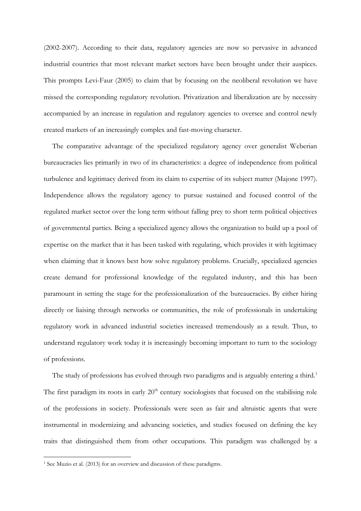(2002-2007). According to their data, regulatory agencies are now so pervasive in advanced industrial countries that most relevant market sectors have been brought under their auspices. This prompts Levi-Faur (2005) to claim that by focusing on the neoliberal revolution we have missed the corresponding regulatory revolution. Privatization and liberalization are by necessity accompanied by an increase in regulation and regulatory agencies to oversee and control newly created markets of an increasingly complex and fast-moving character.

The comparative advantage of the specialized regulatory agency over generalist Weberian bureaucracies lies primarily in two of its characteristics: a degree of independence from political turbulence and legitimacy derived from its claim to expertise of its subject matter (Majone 1997). Independence allows the regulatory agency to pursue sustained and focused control of the regulated market sector over the long term without falling prey to short term political objectives of governmental parties. Being a specialized agency allows the organization to build up a pool of expertise on the market that it has been tasked with regulating, which provides it with legitimacy when claiming that it knows best how solve regulatory problems. Crucially, specialized agencies create demand for professional knowledge of the regulated industry, and this has been paramount in setting the stage for the professionalization of the bureaucracies. By either hiring directly or liaising through networks or communities, the role of professionals in undertaking regulatory work in advanced industrial societies increased tremendously as a result. Thus, to understand regulatory work today it is increasingly becoming important to turn to the sociology of professions.

The study of professions has evolved through two paradigms and is arguably entering a third.<sup>1</sup> The first paradigm its roots in early  $20<sup>th</sup>$  century sociologists that focused on the stabilising role of the professions in society. Professionals were seen as fair and altruistic agents that were instrumental in modernizing and advancing societies, and studies focused on defining the key traits that distinguished them from other occupations. This paradigm was challenged by a

-

<sup>1</sup> See Muzio et al. (2013) for an overview and discussion of these paradigms.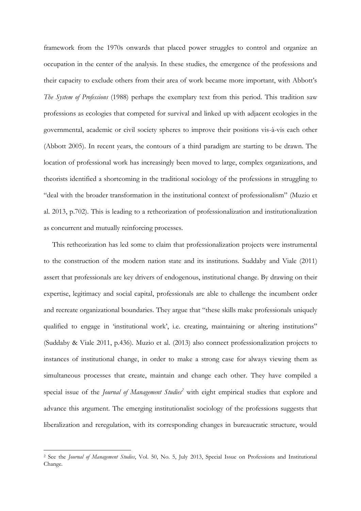framework from the 1970s onwards that placed power struggles to control and organize an occupation in the center of the analysis. In these studies, the emergence of the professions and their capacity to exclude others from their area of work became more important, with Abbott's *The System of Professions* (1988) perhaps the exemplary text from this period. This tradition saw professions as ecologies that competed for survival and linked up with adjacent ecologies in the governmental, academic or civil society spheres to improve their positions vis-à-vis each other (Abbott 2005). In recent years, the contours of a third paradigm are starting to be drawn. The location of professional work has increasingly been moved to large, complex organizations, and theorists identified a shortcoming in the traditional sociology of the professions in struggling to "deal with the broader transformation in the institutional context of professionalism" (Muzio et al. 2013, p.702). This is leading to a retheorization of professionalization and institutionalization as concurrent and mutually reinforcing processes.

This retheorization has led some to claim that professionalization projects were instrumental to the construction of the modern nation state and its institutions. Suddaby and Viale (2011) assert that professionals are key drivers of endogenous, institutional change. By drawing on their expertise, legitimacy and social capital, professionals are able to challenge the incumbent order and recreate organizational boundaries. They argue that "these skills make professionals uniquely qualified to engage in 'institutional work', i.e. creating, maintaining or altering institutions" (Suddaby & Viale 2011, p.436). Muzio et al. (2013) also connect professionalization projects to instances of institutional change, in order to make a strong case for always viewing them as simultaneous processes that create, maintain and change each other. They have compiled a special issue of the *Journal of Management Studies<sup>2</sup>* with eight empirical studies that explore and advance this argument. The emerging institutionalist sociology of the professions suggests that liberalization and reregulation, with its corresponding changes in bureaucratic structure, would

-

<sup>2</sup> See the *Journal of Management Studies*, Vol. 50, No. 5, July 2013, Special Issue on Professions and Institutional Change.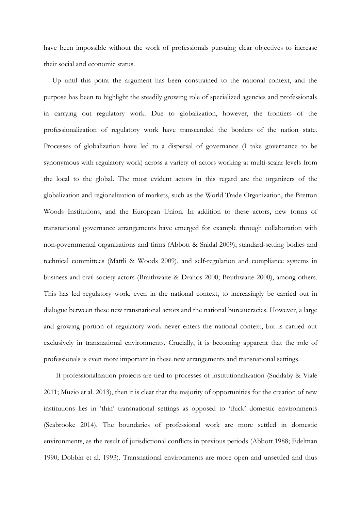have been impossible without the work of professionals pursuing clear objectives to increase their social and economic status.

Up until this point the argument has been constrained to the national context, and the purpose has been to highlight the steadily growing role of specialized agencies and professionals in carrying out regulatory work. Due to globalization, however, the frontiers of the professionalization of regulatory work have transcended the borders of the nation state. Processes of globalization have led to a dispersal of governance (I take governance to be synonymous with regulatory work) across a variety of actors working at multi-scalar levels from the local to the global. The most evident actors in this regard are the organizers of the globalization and regionalization of markets, such as the World Trade Organization, the Bretton Woods Institutions, and the European Union. In addition to these actors, new forms of transnational governance arrangements have emerged for example through collaboration with non-governmental organizations and firms (Abbott & Snidal 2009), standard-setting bodies and technical committees (Mattli & Woods 2009), and self-regulation and compliance systems in business and civil society actors (Braithwaite & Drahos 2000; Braithwaite 2000), among others. This has led regulatory work, even in the national context, to increasingly be carried out in dialogue between these new transnational actors and the national bureaucracies. However, a large and growing portion of regulatory work never enters the national context, but is carried out exclusively in transnational environments. Crucially, it is becoming apparent that the role of professionals is even more important in these new arrangements and transnational settings.

If professionalization projects are tied to processes of institutionalization (Suddaby & Viale 2011; Muzio et al. 2013), then it is clear that the majority of opportunities for the creation of new institutions lies in 'thin' transnational settings as opposed to 'thick' domestic environments (Seabrooke 2014). The boundaries of professional work are more settled in domestic environments, as the result of jurisdictional conflicts in previous periods (Abbott 1988; Edelman 1990; Dobbin et al. 1993). Transnational environments are more open and unsettled and thus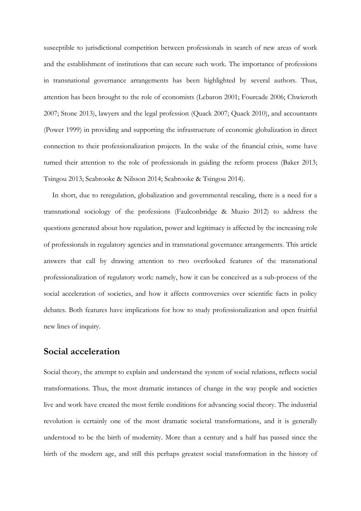susceptible to jurisdictional competition between professionals in search of new areas of work and the establishment of institutions that can secure such work. The importance of professions in transnational governance arrangements has been highlighted by several authors. Thus, attention has been brought to the role of economists (Lebaron 2001; Fourcade 2006; Chwieroth 2007; Stone 2013), lawyers and the legal profession (Quack 2007; Quack 2010), and accountants (Power 1999) in providing and supporting the infrastructure of economic globalization in direct connection to their professionalization projects. In the wake of the financial crisis, some have turned their attention to the role of professionals in guiding the reform process (Baker 2013; Tsingou 2013; Seabrooke & Nilsson 2014; Seabrooke & Tsingou 2014).

In short, due to reregulation, globalization and governmental rescaling, there is a need for a transnational sociology of the professions (Faulconbridge & Muzio 2012) to address the questions generated about how regulation, power and legitimacy is affected by the increasing role of professionals in regulatory agencies and in transnational governance arrangements. This article answers that call by drawing attention to two overlooked features of the transnational professionalization of regulatory work: namely, how it can be conceived as a sub-process of the social acceleration of societies, and how it affects controversies over scientific facts in policy debates. Both features have implications for how to study professionalization and open fruitful new lines of inquiry.

#### **Social acceleration**

Social theory, the attempt to explain and understand the system of social relations, reflects social transformations. Thus, the most dramatic instances of change in the way people and societies live and work have created the most fertile conditions for advancing social theory. The industrial revolution is certainly one of the most dramatic societal transformations, and it is generally understood to be the birth of modernity. More than a century and a half has passed since the birth of the modern age, and still this perhaps greatest social transformation in the history of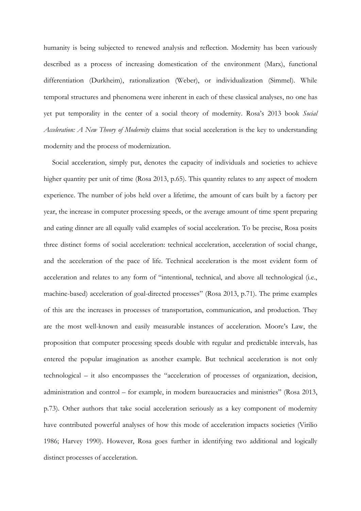humanity is being subjected to renewed analysis and reflection. Modernity has been variously described as a process of increasing domestication of the environment (Marx), functional differentiation (Durkheim), rationalization (Weber), or individualization (Simmel). While temporal structures and phenomena were inherent in each of these classical analyses, no one has yet put temporality in the center of a social theory of modernity. Rosa's 2013 book *Social Acceleration: A New Theory of Modernity* claims that social acceleration is the key to understanding modernity and the process of modernization.

Social acceleration, simply put, denotes the capacity of individuals and societies to achieve higher quantity per unit of time (Rosa 2013, p.65). This quantity relates to any aspect of modern experience. The number of jobs held over a lifetime, the amount of cars built by a factory per year, the increase in computer processing speeds, or the average amount of time spent preparing and eating dinner are all equally valid examples of social acceleration. To be precise, Rosa posits three distinct forms of social acceleration: technical acceleration, acceleration of social change, and the acceleration of the pace of life. Technical acceleration is the most evident form of acceleration and relates to any form of "intentional, technical, and above all technological (i.e., machine-based) acceleration of goal-directed processes" (Rosa 2013, p.71). The prime examples of this are the increases in processes of transportation, communication, and production. They are the most well-known and easily measurable instances of acceleration. Moore's Law, the proposition that computer processing speeds double with regular and predictable intervals, has entered the popular imagination as another example. But technical acceleration is not only technological – it also encompasses the "acceleration of processes of organization, decision, administration and control – for example, in modern bureaucracies and ministries" (Rosa 2013, p.73). Other authors that take social acceleration seriously as a key component of modernity have contributed powerful analyses of how this mode of acceleration impacts societies (Virilio 1986; Harvey 1990). However, Rosa goes further in identifying two additional and logically distinct processes of acceleration.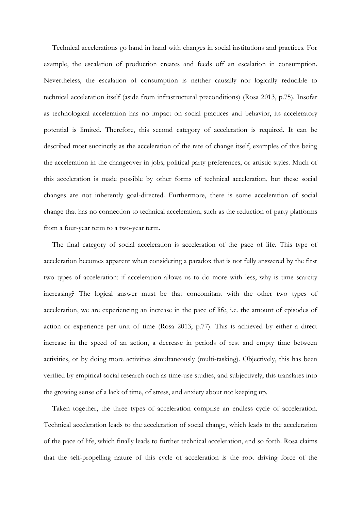Technical accelerations go hand in hand with changes in social institutions and practices. For example, the escalation of production creates and feeds off an escalation in consumption. Nevertheless, the escalation of consumption is neither causally nor logically reducible to technical acceleration itself (aside from infrastructural preconditions) (Rosa 2013, p.75). Insofar as technological acceleration has no impact on social practices and behavior, its acceleratory potential is limited. Therefore, this second category of acceleration is required. It can be described most succinctly as the acceleration of the rate of change itself, examples of this being the acceleration in the changeover in jobs, political party preferences, or artistic styles. Much of this acceleration is made possible by other forms of technical acceleration, but these social changes are not inherently goal-directed. Furthermore, there is some acceleration of social change that has no connection to technical acceleration, such as the reduction of party platforms from a four-year term to a two-year term.

The final category of social acceleration is acceleration of the pace of life. This type of acceleration becomes apparent when considering a paradox that is not fully answered by the first two types of acceleration: if acceleration allows us to do more with less, why is time scarcity increasing? The logical answer must be that concomitant with the other two types of acceleration, we are experiencing an increase in the pace of life, i.e. the amount of episodes of action or experience per unit of time (Rosa 2013, p.77). This is achieved by either a direct increase in the speed of an action, a decrease in periods of rest and empty time between activities, or by doing more activities simultaneously (multi-tasking). Objectively, this has been verified by empirical social research such as time-use studies, and subjectively, this translates into the growing sense of a lack of time, of stress, and anxiety about not keeping up.

Taken together, the three types of acceleration comprise an endless cycle of acceleration. Technical acceleration leads to the acceleration of social change, which leads to the acceleration of the pace of life, which finally leads to further technical acceleration, and so forth. Rosa claims that the self-propelling nature of this cycle of acceleration is the root driving force of the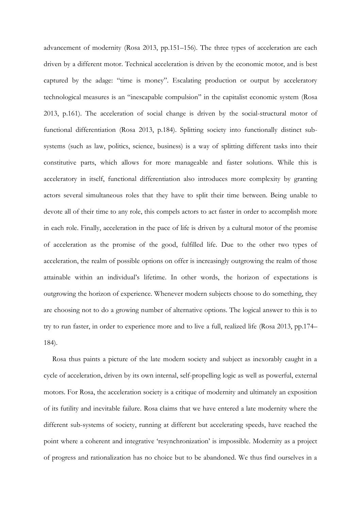advancement of modernity (Rosa 2013, pp.151–156). The three types of acceleration are each driven by a different motor. Technical acceleration is driven by the economic motor, and is best captured by the adage: "time is money". Escalating production or output by acceleratory technological measures is an "inescapable compulsion" in the capitalist economic system (Rosa 2013, p.161). The acceleration of social change is driven by the social-structural motor of functional differentiation (Rosa 2013, p.184). Splitting society into functionally distinct subsystems (such as law, politics, science, business) is a way of splitting different tasks into their constitutive parts, which allows for more manageable and faster solutions. While this is acceleratory in itself, functional differentiation also introduces more complexity by granting actors several simultaneous roles that they have to split their time between. Being unable to devote all of their time to any role, this compels actors to act faster in order to accomplish more in each role. Finally, acceleration in the pace of life is driven by a cultural motor of the promise of acceleration as the promise of the good, fulfilled life. Due to the other two types of acceleration, the realm of possible options on offer is increasingly outgrowing the realm of those attainable within an individual's lifetime. In other words, the horizon of expectations is outgrowing the horizon of experience. Whenever modern subjects choose to do something, they are choosing not to do a growing number of alternative options. The logical answer to this is to try to run faster, in order to experience more and to live a full, realized life (Rosa 2013, pp.174– 184).

Rosa thus paints a picture of the late modern society and subject as inexorably caught in a cycle of acceleration, driven by its own internal, self-propelling logic as well as powerful, external motors. For Rosa, the acceleration society is a critique of modernity and ultimately an exposition of its futility and inevitable failure. Rosa claims that we have entered a late modernity where the different sub-systems of society, running at different but accelerating speeds, have reached the point where a coherent and integrative 'resynchronization' is impossible. Modernity as a project of progress and rationalization has no choice but to be abandoned. We thus find ourselves in a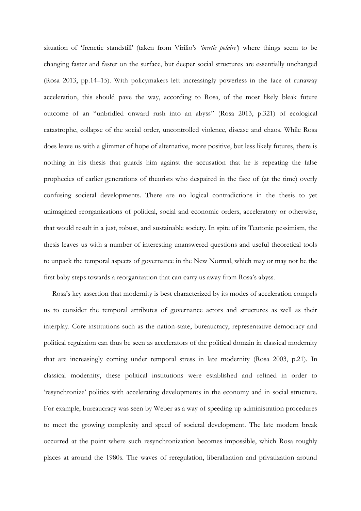situation of 'frenetic standstill' (taken from Virilio's *'inertie polaire'*) where things seem to be changing faster and faster on the surface, but deeper social structures are essentially unchanged (Rosa 2013, pp.14–15). With policymakers left increasingly powerless in the face of runaway acceleration, this should pave the way, according to Rosa, of the most likely bleak future outcome of an "unbridled onward rush into an abyss" (Rosa 2013, p.321) of ecological catastrophe, collapse of the social order, uncontrolled violence, disease and chaos. While Rosa does leave us with a glimmer of hope of alternative, more positive, but less likely futures, there is nothing in his thesis that guards him against the accusation that he is repeating the false prophecies of earlier generations of theorists who despaired in the face of (at the time) overly confusing societal developments. There are no logical contradictions in the thesis to yet unimagined reorganizations of political, social and economic orders, acceleratory or otherwise, that would result in a just, robust, and sustainable society. In spite of its Teutonic pessimism, the thesis leaves us with a number of interesting unanswered questions and useful theoretical tools to unpack the temporal aspects of governance in the New Normal, which may or may not be the first baby steps towards a reorganization that can carry us away from Rosa's abyss.

Rosa's key assertion that modernity is best characterized by its modes of acceleration compels us to consider the temporal attributes of governance actors and structures as well as their interplay. Core institutions such as the nation-state, bureaucracy, representative democracy and political regulation can thus be seen as accelerators of the political domain in classical modernity that are increasingly coming under temporal stress in late modernity (Rosa 2003, p.21). In classical modernity, these political institutions were established and refined in order to 'resynchronize' politics with accelerating developments in the economy and in social structure. For example, bureaucracy was seen by Weber as a way of speeding up administration procedures to meet the growing complexity and speed of societal development. The late modern break occurred at the point where such resynchronization becomes impossible, which Rosa roughly places at around the 1980s. The waves of reregulation, liberalization and privatization around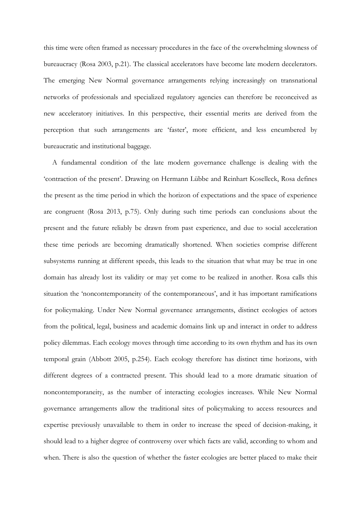this time were often framed as necessary procedures in the face of the overwhelming slowness of bureaucracy (Rosa 2003, p.21). The classical accelerators have become late modern decelerators. The emerging New Normal governance arrangements relying increasingly on transnational networks of professionals and specialized regulatory agencies can therefore be reconceived as new acceleratory initiatives. In this perspective, their essential merits are derived from the perception that such arrangements are 'faster', more efficient, and less encumbered by bureaucratic and institutional baggage.

A fundamental condition of the late modern governance challenge is dealing with the 'contraction of the present'. Drawing on Hermann Lübbe and Reinhart Koselleck, Rosa defines the present as the time period in which the horizon of expectations and the space of experience are congruent (Rosa 2013, p.75). Only during such time periods can conclusions about the present and the future reliably be drawn from past experience, and due to social acceleration these time periods are becoming dramatically shortened. When societies comprise different subsystems running at different speeds, this leads to the situation that what may be true in one domain has already lost its validity or may yet come to be realized in another. Rosa calls this situation the 'noncontemporaneity of the contemporaneous', and it has important ramifications for policymaking. Under New Normal governance arrangements, distinct ecologies of actors from the political, legal, business and academic domains link up and interact in order to address policy dilemmas. Each ecology moves through time according to its own rhythm and has its own temporal grain (Abbott 2005, p.254). Each ecology therefore has distinct time horizons, with different degrees of a contracted present. This should lead to a more dramatic situation of noncontemporaneity, as the number of interacting ecologies increases. While New Normal governance arrangements allow the traditional sites of policymaking to access resources and expertise previously unavailable to them in order to increase the speed of decision-making, it should lead to a higher degree of controversy over which facts are valid, according to whom and when. There is also the question of whether the faster ecologies are better placed to make their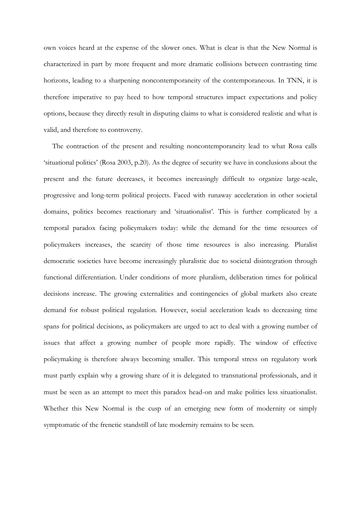own voices heard at the expense of the slower ones. What is clear is that the New Normal is characterized in part by more frequent and more dramatic collisions between contrasting time horizons, leading to a sharpening noncontemporaneity of the contemporaneous. In TNN, it is therefore imperative to pay heed to how temporal structures impact expectations and policy options, because they directly result in disputing claims to what is considered realistic and what is valid, and therefore to controversy.

The contraction of the present and resulting noncontemporaneity lead to what Rosa calls 'situational politics' (Rosa 2003, p.20). As the degree of security we have in conclusions about the present and the future decreases, it becomes increasingly difficult to organize large-scale, progressive and long-term political projects. Faced with runaway acceleration in other societal domains, politics becomes reactionary and 'situationalist'. This is further complicated by a temporal paradox facing policymakers today: while the demand for the time resources of policymakers increases, the scarcity of those time resources is also increasing. Pluralist democratic societies have become increasingly pluralistic due to societal disintegration through functional differentiation. Under conditions of more pluralism, deliberation times for political decisions increase. The growing externalities and contingencies of global markets also create demand for robust political regulation. However, social acceleration leads to decreasing time spans for political decisions, as policymakers are urged to act to deal with a growing number of issues that affect a growing number of people more rapidly. The window of effective policymaking is therefore always becoming smaller. This temporal stress on regulatory work must partly explain why a growing share of it is delegated to transnational professionals, and it must be seen as an attempt to meet this paradox head-on and make politics less situationalist. Whether this New Normal is the cusp of an emerging new form of modernity or simply symptomatic of the frenetic standstill of late modernity remains to be seen.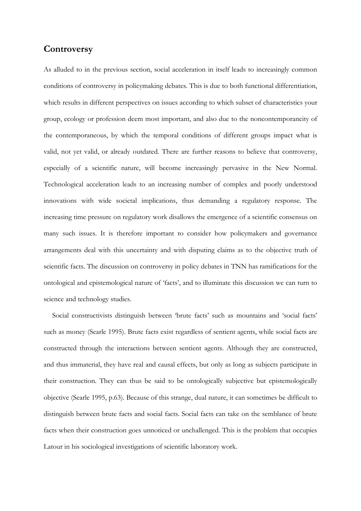#### **Controversy**

As alluded to in the previous section, social acceleration in itself leads to increasingly common conditions of controversy in policymaking debates. This is due to both functional differentiation, which results in different perspectives on issues according to which subset of characteristics your group, ecology or profession deem most important, and also due to the noncontemporaneity of the contemporaneous, by which the temporal conditions of different groups impact what is valid, not yet valid, or already outdated. There are further reasons to believe that controversy, especially of a scientific nature, will become increasingly pervasive in the New Normal. Technological acceleration leads to an increasing number of complex and poorly understood innovations with wide societal implications, thus demanding a regulatory response. The increasing time pressure on regulatory work disallows the emergence of a scientific consensus on many such issues. It is therefore important to consider how policymakers and governance arrangements deal with this uncertainty and with disputing claims as to the objective truth of scientific facts. The discussion on controversy in policy debates in TNN has ramifications for the ontological and epistemological nature of 'facts', and to illuminate this discussion we can turn to science and technology studies.

Social constructivists distinguish between 'brute facts' such as mountains and 'social facts' such as money (Searle 1995). Brute facts exist regardless of sentient agents, while social facts are constructed through the interactions between sentient agents. Although they are constructed, and thus immaterial, they have real and causal effects, but only as long as subjects participate in their construction. They can thus be said to be ontologically subjective but epistemologically objective (Searle 1995, p.63). Because of this strange, dual nature, it can sometimes be difficult to distinguish between brute facts and social facts. Social facts can take on the semblance of brute facts when their construction goes unnoticed or unchallenged. This is the problem that occupies Latour in his sociological investigations of scientific laboratory work.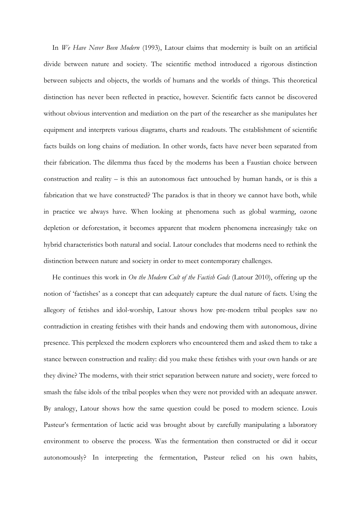In *We Have Never Been Modern* (1993), Latour claims that modernity is built on an artificial divide between nature and society. The scientific method introduced a rigorous distinction between subjects and objects, the worlds of humans and the worlds of things. This theoretical distinction has never been reflected in practice, however. Scientific facts cannot be discovered without obvious intervention and mediation on the part of the researcher as she manipulates her equipment and interprets various diagrams, charts and readouts. The establishment of scientific facts builds on long chains of mediation. In other words, facts have never been separated from their fabrication. The dilemma thus faced by the moderns has been a Faustian choice between construction and reality – is this an autonomous fact untouched by human hands, or is this a fabrication that we have constructed? The paradox is that in theory we cannot have both, while in practice we always have. When looking at phenomena such as global warming, ozone depletion or deforestation, it becomes apparent that modern phenomena increasingly take on hybrid characteristics both natural and social. Latour concludes that moderns need to rethink the distinction between nature and society in order to meet contemporary challenges.

He continues this work in *On the Modern Cult of the Factish Gods* (Latour 2010), offering up the notion of 'factishes' as a concept that can adequately capture the dual nature of facts. Using the allegory of fetishes and idol-worship, Latour shows how pre-modern tribal peoples saw no contradiction in creating fetishes with their hands and endowing them with autonomous, divine presence. This perplexed the modern explorers who encountered them and asked them to take a stance between construction and reality: did you make these fetishes with your own hands or are they divine? The moderns, with their strict separation between nature and society, were forced to smash the false idols of the tribal peoples when they were not provided with an adequate answer. By analogy, Latour shows how the same question could be posed to modern science. Louis Pasteur's fermentation of lactic acid was brought about by carefully manipulating a laboratory environment to observe the process. Was the fermentation then constructed or did it occur autonomously? In interpreting the fermentation, Pasteur relied on his own habits,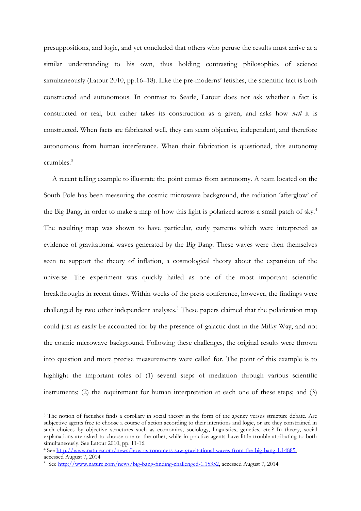presuppositions, and logic, and yet concluded that others who peruse the results must arrive at a similar understanding to his own, thus holding contrasting philosophies of science simultaneously (Latour 2010, pp.16–18). Like the pre-moderns' fetishes, the scientific fact is both constructed and autonomous. In contrast to Searle, Latour does not ask whether a fact is constructed or real, but rather takes its construction as a given, and asks how *well* it is constructed. When facts are fabricated well, they can seem objective, independent, and therefore autonomous from human interference. When their fabrication is questioned, this autonomy crumbles.<sup>3</sup>

A recent telling example to illustrate the point comes from astronomy. A team located on the South Pole has been measuring the cosmic microwave background, the radiation 'afterglow' of the Big Bang, in order to make a map of how this light is polarized across a small patch of sky.<sup>4</sup> The resulting map was shown to have particular, curly patterns which were interpreted as evidence of gravitational waves generated by the Big Bang. These waves were then themselves seen to support the theory of inflation, a cosmological theory about the expansion of the universe. The experiment was quickly hailed as one of the most important scientific breakthroughs in recent times. Within weeks of the press conference, however, the findings were challenged by two other independent analyses.<sup>5</sup> These papers claimed that the polarization map could just as easily be accounted for by the presence of galactic dust in the Milky Way, and not the cosmic microwave background. Following these challenges, the original results were thrown into question and more precise measurements were called for. The point of this example is to highlight the important roles of (1) several steps of mediation through various scientific instruments; (2) the requirement for human interpretation at each one of these steps; and (3)

<u>.</u>

<sup>3</sup> The notion of factishes finds a corollary in social theory in the form of the agency versus structure debate. Are subjective agents free to choose a course of action according to their intentions and logic, or are they constrained in such choices by objective structures such as economics, sociology, linguistics, genetics, etc.? In theory, social explanations are asked to choose one or the other, while in practice agents have little trouble attributing to both simultaneously. See Latour 2010, pp. 11-16.

<sup>4</sup> See [http://www.nature.com/news/how-astronomers-saw-gravitational-waves-from-the-big-bang-1.14885,](http://www.nature.com/news/how-astronomers-saw-gravitational-waves-from-the-big-bang-1.14885)  accessed August 7, 2014

<sup>5</sup> Se[e http://www.nature.com/news/big-bang-finding-challenged-1.15352,](http://www.nature.com/news/big-bang-finding-challenged-1.15352) accessed August 7, 2014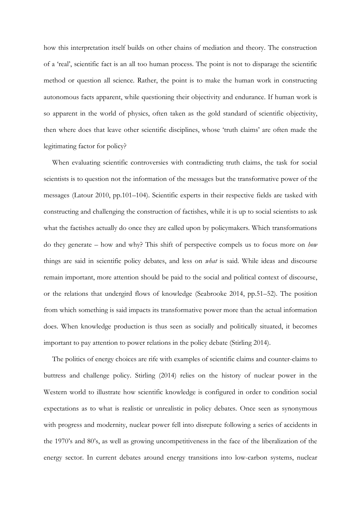how this interpretation itself builds on other chains of mediation and theory. The construction of a 'real', scientific fact is an all too human process. The point is not to disparage the scientific method or question all science. Rather, the point is to make the human work in constructing autonomous facts apparent, while questioning their objectivity and endurance. If human work is so apparent in the world of physics, often taken as the gold standard of scientific objectivity, then where does that leave other scientific disciplines, whose 'truth claims' are often made the legitimating factor for policy?

When evaluating scientific controversies with contradicting truth claims, the task for social scientists is to question not the information of the messages but the transformative power of the messages (Latour 2010, pp.101–104). Scientific experts in their respective fields are tasked with constructing and challenging the construction of factishes, while it is up to social scientists to ask what the factishes actually do once they are called upon by policymakers. Which transformations do they generate – how and why? This shift of perspective compels us to focus more on *how* things are said in scientific policy debates, and less on *what* is said. While ideas and discourse remain important, more attention should be paid to the social and political context of discourse, or the relations that undergird flows of knowledge (Seabrooke 2014, pp.51–52). The position from which something is said impacts its transformative power more than the actual information does. When knowledge production is thus seen as socially and politically situated, it becomes important to pay attention to power relations in the policy debate (Stirling 2014).

The politics of energy choices are rife with examples of scientific claims and counter-claims to buttress and challenge policy. Stirling (2014) relies on the history of nuclear power in the Western world to illustrate how scientific knowledge is configured in order to condition social expectations as to what is realistic or unrealistic in policy debates. Once seen as synonymous with progress and modernity, nuclear power fell into disrepute following a series of accidents in the 1970's and 80's, as well as growing uncompetitiveness in the face of the liberalization of the energy sector. In current debates around energy transitions into low-carbon systems, nuclear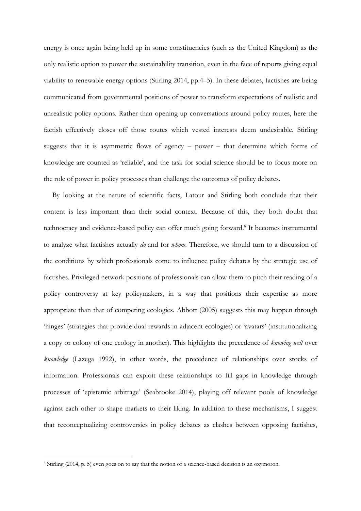energy is once again being held up in some constituencies (such as the United Kingdom) as the only realistic option to power the sustainability transition, even in the face of reports giving equal viability to renewable energy options (Stirling 2014, pp.4–5). In these debates, factishes are being communicated from governmental positions of power to transform expectations of realistic and unrealistic policy options. Rather than opening up conversations around policy routes, here the factish effectively closes off those routes which vested interests deem undesirable. Stirling suggests that it is asymmetric flows of agency – power – that determine which forms of knowledge are counted as 'reliable', and the task for social science should be to focus more on the role of power in policy processes than challenge the outcomes of policy debates.

By looking at the nature of scientific facts, Latour and Stirling both conclude that their content is less important than their social context. Because of this, they both doubt that technocracy and evidence-based policy can offer much going forward.<sup>6</sup> It becomes instrumental to analyze what factishes actually *do* and for *whom*. Therefore, we should turn to a discussion of the conditions by which professionals come to influence policy debates by the strategic use of factishes. Privileged network positions of professionals can allow them to pitch their reading of a policy controversy at key policymakers, in a way that positions their expertise as more appropriate than that of competing ecologies. Abbott (2005) suggests this may happen through 'hinges' (strategies that provide dual rewards in adjacent ecologies) or 'avatars' (institutionalizing a copy or colony of one ecology in another). This highlights the precedence of *knowing well* over *knowledge* (Lazega 1992), in other words, the precedence of relationships over stocks of information. Professionals can exploit these relationships to fill gaps in knowledge through processes of 'epistemic arbitrage' (Seabrooke 2014), playing off relevant pools of knowledge against each other to shape markets to their liking. In addition to these mechanisms, I suggest that reconceptualizing controversies in policy debates as clashes between opposing factishes,

-

<sup>6</sup> Stirling (2014, p. 5) even goes on to say that the notion of a science-based decision is an oxymoron.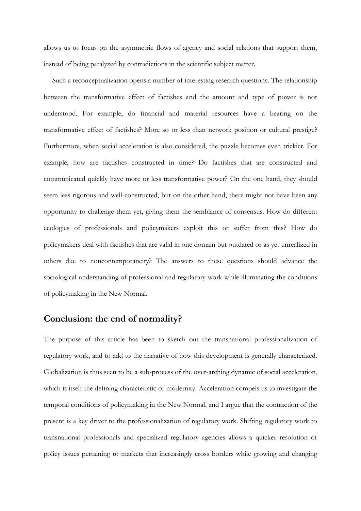allows us to focus on the asymmetric flows of agency and social relations that support them, instead of being paralyzed by contradictions in the scientific subject matter.

Such a reconceptualization opens a number of interesting research questions. The relationship between the transformative effect of factishes and the amount and type of power is not understood. For example, do financial and material resources have a bearing on the transformative effect of factishes? More so or less than network position or cultural prestige? Furthermore, when social acceleration is also considered, the puzzle becomes even trickier. For example, how are factishes constructed in time? Do factishes that are constructed and communicated quickly have more or less transformative power? On the one hand, they should seem less rigorous and well-constructed, but on the other hand, there might not have been any opportunity to challenge them yet, giving them the semblance of consensus. How do different ecologies of professionals and policymakers exploit this or suffer from this? How do policymakers deal with factishes that are valid in one domain but outdated or as yet unrealized in others due to noncontemporaneity? The answers to these questions should advance the sociological understanding of professional and regulatory work while illuminating the conditions of policymaking in the New Normal.

## **Conclusion: the end of normality?**

The purpose of this article has been to sketch out the transnational professionalization of regulatory work, and to add to the narrative of how this development is generally characterized. Globalization is thus seen to be a sub-process of the over-arching dynamic of social acceleration, which is itself the defining characteristic of modernity. Acceleration compels us to investigate the temporal conditions of policymaking in the New Normal, and I argue that the contraction of the present is a key driver to the professionalization of regulatory work. Shifting regulatory work to transnational professionals and specialized regulatory agencies allows a quicker resolution of policy issues pertaining to markets that increasingly cross borders while growing and changing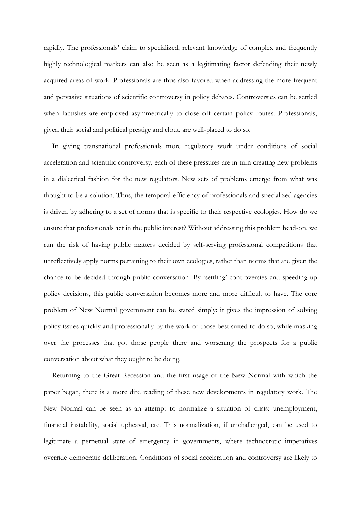rapidly. The professionals' claim to specialized, relevant knowledge of complex and frequently highly technological markets can also be seen as a legitimating factor defending their newly acquired areas of work. Professionals are thus also favored when addressing the more frequent and pervasive situations of scientific controversy in policy debates. Controversies can be settled when factishes are employed asymmetrically to close off certain policy routes. Professionals, given their social and political prestige and clout, are well-placed to do so.

In giving transnational professionals more regulatory work under conditions of social acceleration and scientific controversy, each of these pressures are in turn creating new problems in a dialectical fashion for the new regulators. New sets of problems emerge from what was thought to be a solution. Thus, the temporal efficiency of professionals and specialized agencies is driven by adhering to a set of norms that is specific to their respective ecologies. How do we ensure that professionals act in the public interest? Without addressing this problem head-on, we run the risk of having public matters decided by self-serving professional competitions that unreflectively apply norms pertaining to their own ecologies, rather than norms that are given the chance to be decided through public conversation. By 'settling' controversies and speeding up policy decisions, this public conversation becomes more and more difficult to have. The core problem of New Normal government can be stated simply: it gives the impression of solving policy issues quickly and professionally by the work of those best suited to do so, while masking over the processes that got those people there and worsening the prospects for a public conversation about what they ought to be doing.

Returning to the Great Recession and the first usage of the New Normal with which the paper began, there is a more dire reading of these new developments in regulatory work. The New Normal can be seen as an attempt to normalize a situation of crisis: unemployment, financial instability, social upheaval, etc. This normalization, if unchallenged, can be used to legitimate a perpetual state of emergency in governments, where technocratic imperatives override democratic deliberation. Conditions of social acceleration and controversy are likely to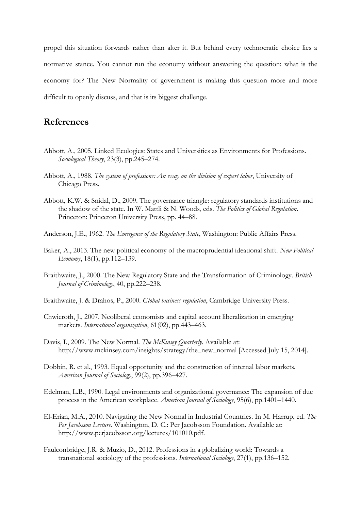propel this situation forwards rather than alter it. But behind every technocratic choice lies a normative stance. You cannot run the economy without answering the question: what is the economy for? The New Normality of government is making this question more and more difficult to openly discuss, and that is its biggest challenge.

### **References**

- Abbott, A., 2005. Linked Ecologies: States and Universities as Environments for Professions. *Sociological Theory*, 23(3), pp.245–274.
- Abbott, A., 1988. *The system of professions: An essay on the division of expert labor*, University of Chicago Press.
- Abbott, K.W. & Snidal, D., 2009. The governance triangle: regulatory standards institutions and the shadow of the state. In W. Mattli & N. Woods, eds. *The Politics of Global Regulation*. Princeton: Princeton University Press, pp. 44–88.
- Anderson, J.E., 1962. *The Emergence of the Regulatory State*, Washington: Public Affairs Press.
- Baker, A., 2013. The new political economy of the macroprudential ideational shift. *New Political Economy*, 18(1), pp.112–139.
- Braithwaite, J., 2000. The New Regulatory State and the Transformation of Criminology. *British Journal of Criminology*, 40, pp.222–238.
- Braithwaite, J. & Drahos, P., 2000. *Global business regulation*, Cambridge University Press.
- Chwieroth, J., 2007. Neoliberal economists and capital account liberalization in emerging markets. *International organization*, 61(02), pp.443–463.
- Davis, I., 2009. The New Normal. *The McKinsey Quarterly*. Available at: http://www.mckinsey.com/insights/strategy/the\_new\_normal [Accessed July 15, 2014].
- Dobbin, R. et al., 1993. Equal opportunity and the construction of internal labor markets. *American Journal of Sociology*, 99(2), pp.396–427.
- Edelman, L.B., 1990. Legal environments and organizational governance: The expansion of due process in the American workplace. *American Journal of Sociology*, 95(6), pp.1401–1440.
- El-Erian, M.A., 2010. Navigating the New Normal in Industrial Countries. In M. Harrup, ed. *The Per Jacobsson Lecture*. Washington, D. C.: Per Jacobsson Foundation. Available at: http://www.perjacobsson.org/lectures/101010.pdf.
- Faulconbridge, J.R. & Muzio, D., 2012. Professions in a globalizing world: Towards a transnational sociology of the professions. *International Sociology*, 27(1), pp.136–152.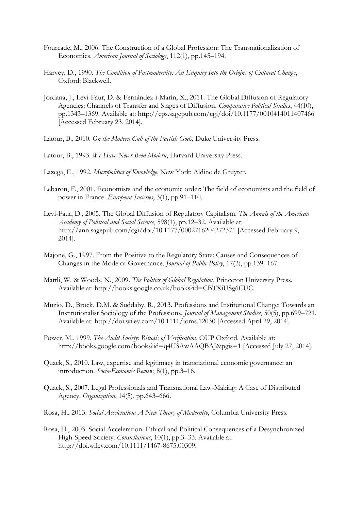- Fourcade, M., 2006. The Construction of a Global Profession: The Transnationalization of Economics. *American Journal of Sociology*, 112(1), pp.145–194.
- Harvey, D., 1990. *The Condition of Postmodernity: An Enquiry Into the Origins of Cultural Change*, Oxford: Blackwell.
- Jordana, J., Levi-Faur, D. & Fernández-i-Marín, X., 2011. The Global Diffusion of Regulatory Agencies: Channels of Transfer and Stages of Diffusion. *Comparative Political Studies*, 44(10), pp.1343–1369. Available at: http://cps.sagepub.com/cgi/doi/10.1177/0010414011407466 [Accessed February 23, 2014].
- Latour, B., 2010. *On the Modern Cult of the Factish Gods*, Duke University Press.
- Latour, B., 1993. *We Have Never Been Modern*, Harvard University Press.
- Lazega, E., 1992. *Micropolitics of Knowledge*, New York: Aldine de Gruyter.
- Lebaron, F., 2001. Economists and the economic order: The field of economists and the field of power in France. *European Societies*, 3(1), pp.91–110.
- Levi-Faur, D., 2005. The Global Diffusion of Regulatory Capitalism. *The Annals of the American Academy of Political and Social Science*, 598(1), pp.12–32. Available at: http://ann.sagepub.com/cgi/doi/10.1177/0002716204272371 [Accessed February 9, 2014].
- Majone, G., 1997. From the Positive to the Regulatory State: Causes and Consequences of Changes in the Mode of Governance. *Journal of Public Policy*, 17(2), pp.139–167.
- Mattli, W. & Woods, N., 2009. *The Politics of Global Regulation*, Princeton University Press. Available at: http://books.google.co.uk/books?id=CBTXiUSg6CUC.
- Muzio, D., Brock, D.M. & Suddaby, R., 2013. Professions and Institutional Change: Towards an Institutionalist Sociology of the Professions. *Journal of Management Studies*, 50(5), pp.699–721. Available at: http://doi.wiley.com/10.1111/joms.12030 [Accessed April 29, 2014].
- Power, M., 1999. *The Audit Society: Rituals of Verification*, OUP Oxford. Available at: http://books.google.com/books?id=q4U3AwAAQBAJ&pgis=1 [Accessed July 27, 2014].
- Quack, S., 2010. Law, expertise and legitimacy in transnational economic governance: an introduction. *Socio-Economic Review*, 8(1), pp.3–16.
- Quack, S., 2007. Legal Professionals and Transnational Law-Making: A Case of Distributed Agency. *Organization*, 14(5), pp.643–666.
- Rosa, H., 2013. *Social Acceleration: A New Theory of Modernity*, Columbia University Press.
- Rosa, H., 2003. Social Acceleration: Ethical and Political Consequences of a Desynchronized High-Speed Society. *Constellations*, 10(1), pp.3–33. Available at: http://doi.wiley.com/10.1111/1467-8675.00309.